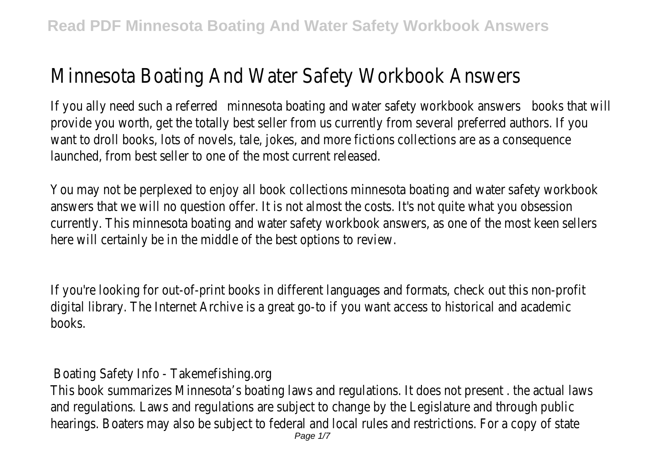## Minnesota Boating And Water Safety Workbook Answers

If you ally need such a referred minnesota boating and water safety workbook answers books that will provide you worth, get the totally best seller from us currently from several preferred authors. If you want to droll books, lots of novels, tale, jokes, and more fictions collections are as a consequence launched, from best seller to one of the most current released.

You may not be perplexed to enjoy all book collections minnesota boating and water safety workbook answers that we will no question offer. It is not almost the costs. It's not quite what you obsession currently. This minnesota boating and water safety workbook answers, as one of the most keen sellers here will certainly be in the middle of the best options to review.

If you're looking for out-of-print books in different languages and formats, check out this non-profit digital library. The Internet Archive is a great go-to if you want access to historical and academic books.

Boating Safety Info - Takemefishing.org

This book summarizes Minnesota's boating laws and regulations. It does not present . the actual laws and regulations. Laws and regulations are subject to change by the Legislature and through public hearings. Boaters may also be subject to federal and local rules and restrictions. For a copy of state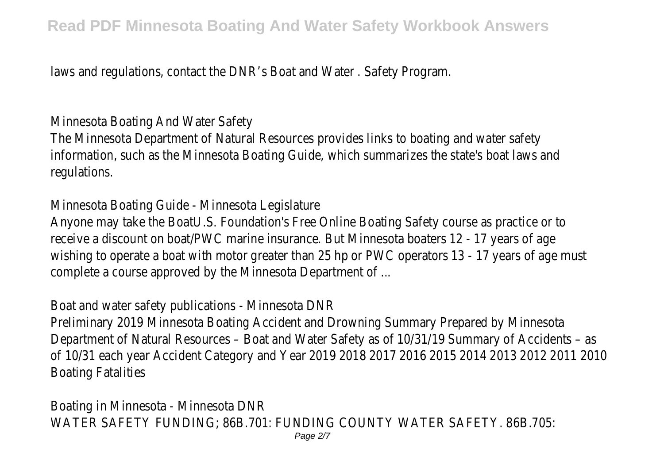laws and regulations, contact the DNR's Boat and Water . Safety Program.

Minnesota Boating And Water Safety

The Minnesota Department of Natural Resources provides links to boating and water safety information, such as the Minnesota Boating Guide, which summarizes the state's boat laws and regulations.

Minnesota Boating Guide - Minnesota Legislature

Anyone may take the BoatU.S. Foundation's Free Online Boating Safety course as practice or to receive a discount on boat/PWC marine insurance. But Minnesota boaters 12 - 17 years of age wishing to operate a boat with motor greater than 25 hp or PWC operators 13 - 17 years of age must complete a course approved by the Minnesota Department of ...

Boat and water safety publications - Minnesota DNR

Preliminary 2019 Minnesota Boating Accident and Drowning Summary Prepared by Minnesota Department of Natural Resources – Boat and Water Safety as of 10/31/19 Summary of Accidents – as of 10/31 each year Accident Category and Year 2019 2018 2017 2016 2015 2014 2013 2012 2011 2010 Boating Fatalities

Boating in Minnesota - Minnesota DNR WATER SAFETY FUNDING; 86B.701: FUNDING COUNTY WATER SAFETY. 86B.705: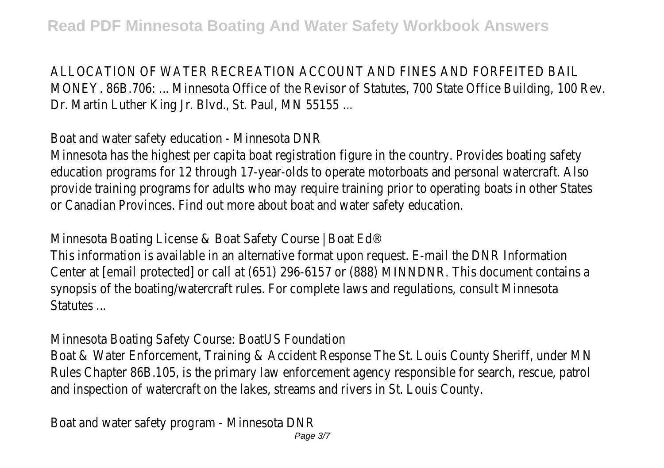## ALLOCATION OF WATER RECREATION ACCOUNT AND FINES AND FORFEITED BAIL

MONEY. 86B.706: ... Minnesota Office of the Revisor of Statutes, 700 State Office Building, 100 Rev. Dr. Martin Luther King Jr. Blvd., St. Paul, MN 55155 ...

Boat and water safety education - Minnesota DNR

Minnesota has the highest per capita boat registration figure in the country. Provides boating safety education programs for 12 through 17-year-olds to operate motorboats and personal watercraft. Also provide training programs for adults who may require training prior to operating boats in other States or Canadian Provinces. Find out more about boat and water safety education.

Minnesota Boating License & Boat Safety Course | Boat Ed®

This information is available in an alternative format upon request. E-mail the DNR Information Center at [email protected] or call at (651) 296-6157 or (888) MINNDNR. This document contains a synopsis of the boating/watercraft rules. For complete laws and regulations, consult Minnesota Statutes ...

Minnesota Boating Safety Course: BoatUS Foundation

Boat & Water Enforcement, Training & Accident Response The St. Louis County Sheriff, under MN Rules Chapter 86B.105, is the primary law enforcement agency responsible for search, rescue, patrol and inspection of watercraft on the lakes, streams and rivers in St. Louis County.

Boat and water safety program - Minnesota DNR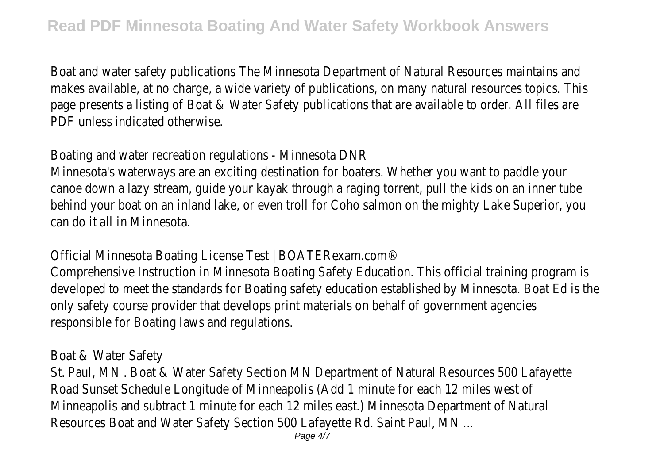Boat and water safety publications The Minnesota Department of Natural Resources maintains and makes available, at no charge, a wide variety of publications, on many natural resources topics. This page presents a listing of Boat & Water Safety publications that are available to order. All files are PDF unless indicated otherwise.

Boating and water recreation regulations - Minnesota DNR

Minnesota's waterways are an exciting destination for boaters. Whether you want to paddle your canoe down a lazy stream, guide your kayak through a raging torrent, pull the kids on an inner tube behind your boat on an inland lake, or even troll for Coho salmon on the mighty Lake Superior, you can do it all in Minnesota.

Official Minnesota Boating License Test | BOATERexam.com®

Comprehensive Instruction in Minnesota Boating Safety Education. This official training program is developed to meet the standards for Boating safety education established by Minnesota. Boat Ed is the only safety course provider that develops print materials on behalf of government agencies responsible for Boating laws and regulations.

Boat & Water Safety

St. Paul, MN . Boat & Water Safety Section MN Department of Natural Resources 500 Lafayette Road Sunset Schedule Longitude of Minneapolis (Add 1 minute for each 12 miles west of Minneapolis and subtract 1 minute for each 12 miles east.) Minnesota Department of Natural Resources Boat and Water Safety Section 500 Lafayette Rd. Saint Paul, MN ...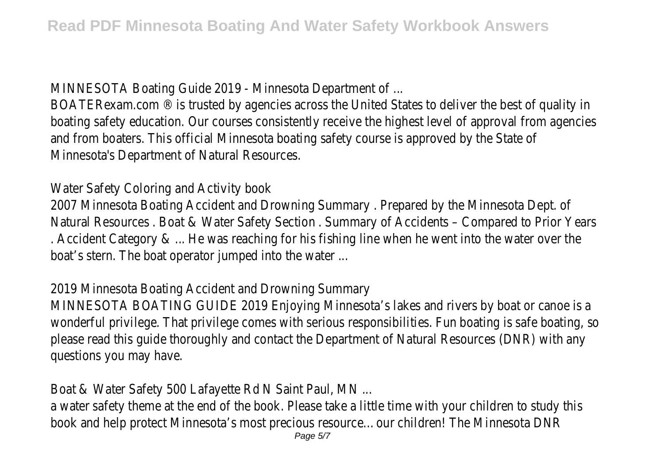MINNESOTA Boating Guide 2019 - Minnesota Department of ...

BOATERexam.com ® is trusted by agencies across the United States to deliver the best of quality in boating safety education. Our courses consistently receive the highest level of approval from agencies and from boaters. This official Minnesota boating safety course is approved by the State of Minnesota's Department of Natural Resources.

Water Safety Coloring and Activity book

2007 Minnesota Boating Accident and Drowning Summary . Prepared by the Minnesota Dept. of Natural Resources . Boat & Water Safety Section . Summary of Accidents – Compared to Prior Years . Accident Category & ... He was reaching for his fishing line when he went into the water over the boat's stern. The boat operator jumped into the water ...

2019 Minnesota Boating Accident and Drowning Summary

MINNESOTA BOATING GUIDE 2019 Enjoying Minnesota's lakes and rivers by boat or canoe is a wonderful privilege. That privilege comes with serious responsibilities. Fun boating is safe boating, so please read this guide thoroughly and contact the Department of Natural Resources (DNR) with any questions you may have.

Boat & Water Safety 500 Lafayette Rd N Saint Paul, MN ...

a water safety theme at the end of the book. Please take a little time with your children to study this book and help protect Minnesota's most precious resource…our children! The Minnesota DNR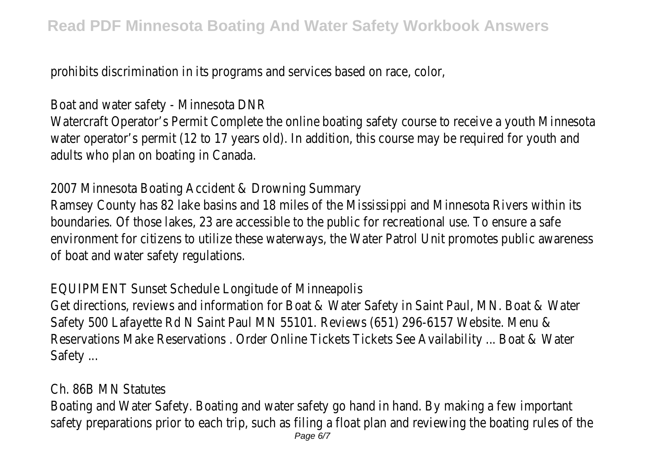prohibits discrimination in its programs and services based on race, color,

Boat and water safety - Minnesota DNR

Watercraft Operator's Permit Complete the online boating safety course to receive a youth Minnesota water operator's permit (12 to 17 years old). In addition, this course may be required for youth and adults who plan on boating in Canada.

2007 Minnesota Boating Accident & Drowning Summary

Ramsey County has 82 lake basins and 18 miles of the Mississippi and Minnesota Rivers within its boundaries. Of those lakes, 23 are accessible to the public for recreational use. To ensure a safe environment for citizens to utilize these waterways, the Water Patrol Unit promotes public awareness of boat and water safety regulations.

EQUIPMENT Sunset Schedule Longitude of Minneapolis

Get directions, reviews and information for Boat & Water Safety in Saint Paul, MN. Boat & Water Safety 500 Lafayette Rd N Saint Paul MN 55101. Reviews (651) 296-6157 Website. Menu & Reservations Make Reservations . Order Online Tickets Tickets See Availability ... Boat & Water Safety ...

## Ch. 86B MN Statutes

Boating and Water Safety. Boating and water safety go hand in hand. By making a few important safety preparations prior to each trip, such as filing a float plan and reviewing the boating rules of the